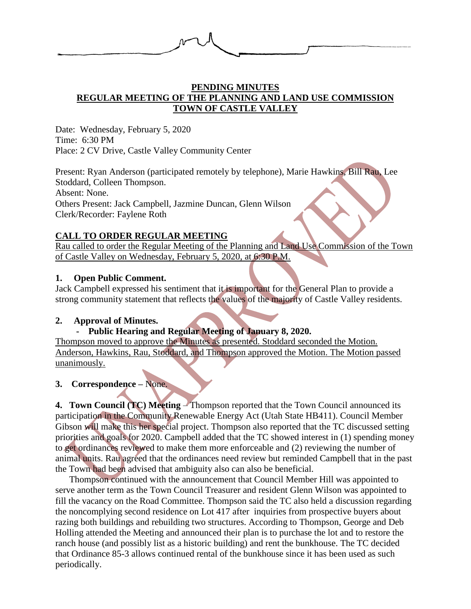

# **PENDING MINUTES REGULAR MEETING OF THE PLANNING AND LAND USE COMMISSION TOWN OF CASTLE VALLEY**

Date: Wednesday, February 5, 2020 Time: 6:30 PM Place: 2 CV Drive, Castle Valley Community Center

Present: Ryan Anderson (participated remotely by telephone), Marie Hawkins, Bill Rau, Lee Stoddard, Colleen Thompson. Absent: None. Others Present: Jack Campbell, Jazmine Duncan, Glenn Wilson Clerk/Recorder: Faylene Roth

# **CALL TO ORDER REGULAR MEETING**

Rau called to order the Regular Meeting of the Planning and Land Use Commission of the Town of Castle Valley on Wednesday, February 5, 2020, at 6:30 P.M.

# **1. Open Public Comment.**

Jack Campbell expressed his sentiment that it is important for the General Plan to provide a strong community statement that reflects the values of the majority of Castle Valley residents.

## **2. Approval of Minutes.**

# **- Public Hearing and Regular Meeting of January 8, 2020.**

Thompson moved to approve the Minutes as presented. Stoddard seconded the Motion. Anderson, Hawkins, Rau, Stoddard, and Thompson approved the Motion. The Motion passed unanimously.

## **3. Correspondence –** None.

**4. Town Council (TC) Meeting** – Thompson reported that the Town Council announced its participation in the Community Renewable Energy Act (Utah State HB411). Council Member Gibson will make this her special project. Thompson also reported that the TC discussed setting priorities and goals for 2020. Campbell added that the TC showed interest in (1) spending money to get ordinances reviewed to make them more enforceable and (2) reviewing the number of animal units. Rau agreed that the ordinances need review but reminded Campbell that in the past the Town had been advised that ambiguity also can also be beneficial.

Thompson continued with the announcement that Council Member Hill was appointed to serve another term as the Town Council Treasurer and resident Glenn Wilson was appointed to fill the vacancy on the Road Committee. Thompson said the TC also held a discussion regarding the noncomplying second residence on Lot 417 after inquiries from prospective buyers about razing both buildings and rebuilding two structures. According to Thompson, George and Deb Holling attended the Meeting and announced their plan is to purchase the lot and to restore the ranch house (and possibly list as a historic building) and rent the bunkhouse. The TC decided that Ordinance 85-3 allows continued rental of the bunkhouse since it has been used as such periodically.